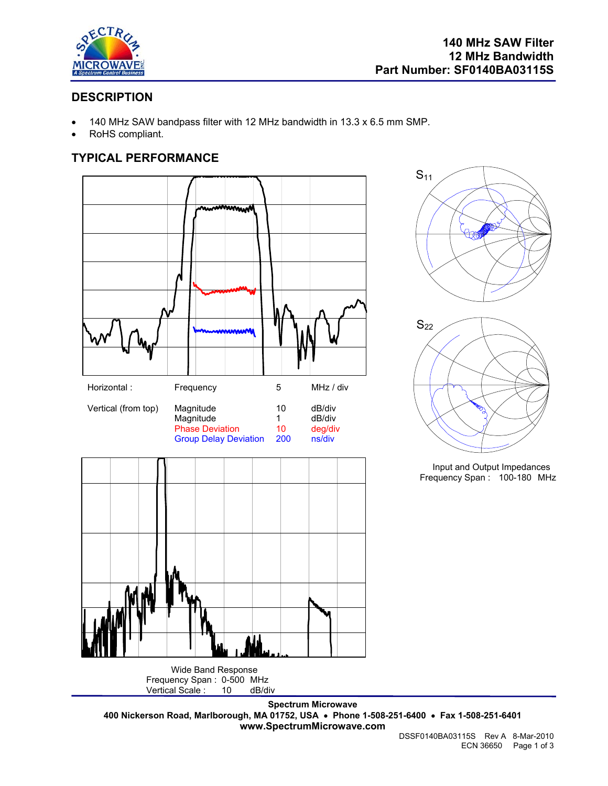

 $S_{11}$ 

## **DESCRIPTION**

- 140 MHz SAW bandpass filter with 12 MHz bandwidth in 13.3 x 6.5 mm SMP.
- RoHS compliant.

## **TYPICAL PERFORMANCE**



Frequency Span : 0-500 MHz<br>Vertical Scale : 10 dB/di Vertical Scale : 10 dB/div  $S_{22}$ 

Input and Output Impedances Frequency Span : 100-180 MHz

**Spectrum Microwave 400 Nickerson Road, Marlborough, MA 01752, USA** • **Phone 1-508-251-6400** • **Fax 1-508-251-6401 www.SpectrumMicrowave.com**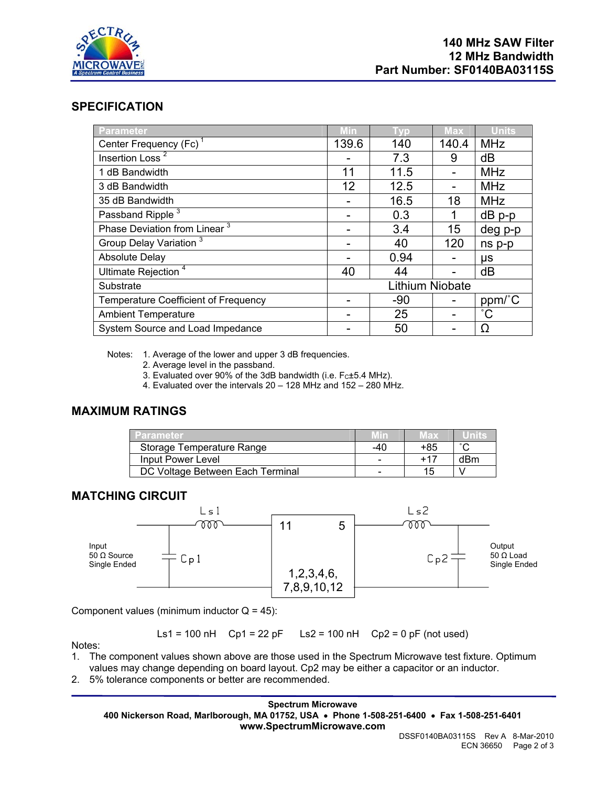

#### **SPECIFICATION**

| Parameter                                   | <b>Min</b>      | Гур   | <b>Max</b> | <b>Units</b> |
|---------------------------------------------|-----------------|-------|------------|--------------|
| Center Frequency (Fc) <sup>1</sup>          | 139.6           | 140   | 140.4      | <b>MHz</b>   |
| Insertion Loss <sup>2</sup>                 |                 | 7.3   | 9          | dB           |
| 1 dB Bandwidth                              | 11              | 11.5  |            | <b>MHz</b>   |
| 3 dB Bandwidth                              | 12              | 12.5  |            | <b>MHz</b>   |
| 35 dB Bandwidth                             |                 | 16.5  | 18         | <b>MHz</b>   |
| Passband Ripple <sup>3</sup>                |                 | 0.3   | 1          | $dB$ p-p     |
| Phase Deviation from Linear <sup>3</sup>    |                 | 3.4   | 15         | deg p-p      |
| Group Delay Variation <sup>3</sup>          |                 | 40    | 120        | ns p-p       |
| <b>Absolute Delay</b>                       |                 | 0.94  |            | μs           |
| Ultimate Rejection <sup>4</sup>             | 40              | 44    |            | dB           |
| Substrate                                   | Lithium Niobate |       |            |              |
| <b>Temperature Coefficient of Frequency</b> |                 | $-90$ |            | ppm/°C       |
| <b>Ambient Temperature</b>                  |                 | 25    |            | $^{\circ}C$  |
| System Source and Load Impedance            |                 | 50    |            | Ω            |

Notes: 1. Average of the lower and upper 3 dB frequencies.

- 2. Average level in the passband.
- 3. Evaluated over 90% of the 3dB bandwidth (i.e.  $F<sub>C</sub>±5.4$  MHz).
- 4. Evaluated over the intervals 20 128 MHz and 152 280 MHz.

## **MAXIMUM RATINGS**

| Parameter                        |     | иах |     |
|----------------------------------|-----|-----|-----|
| Storage Temperature Range        | -40 | +85 |     |
| Input Power Level                |     | +11 | dBm |
| DC Voltage Between Each Terminal |     | 15  |     |

#### **MATCHING CIRCUIT**



Component values (minimum inductor  $Q = 45$ ):

Ls1 = 100 nH Cp1 = 22 pF Ls2 = 100 nH Cp2 = 0 pF (not used)

Notes:

- 1. The component values shown above are those used in the Spectrum Microwave test fixture. Optimum values may change depending on board layout. Cp2 may be either a capacitor or an inductor.
- 2. 5% tolerance components or better are recommended.